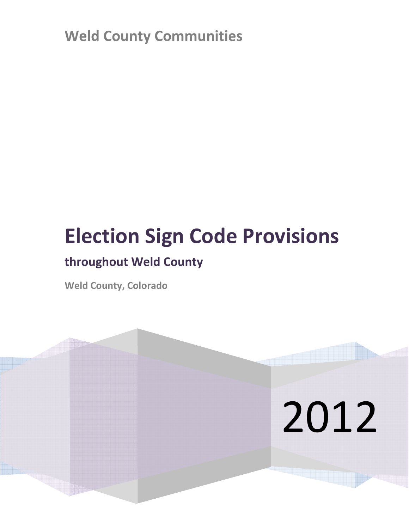Weld County Communities

# Election Sign Code Provisions

## throughout Weld County

Weld County, Colorado

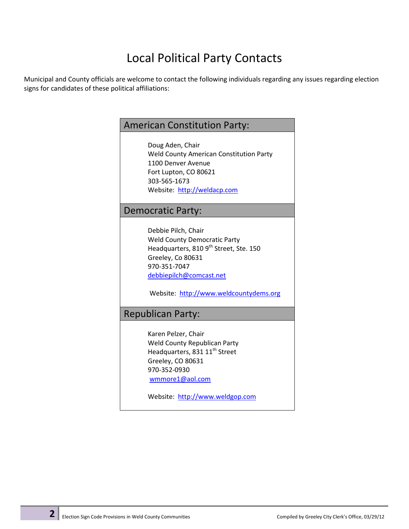## Local Political Party Contacts

Municipal and County officials are welcome to contact the following individuals regarding any issues regarding election signs for candidates of these political affiliations:

### American Constitution Party:

Doug Aden, Chair Weld County American Constitution Party 1100 Denver Avenue Fort Lupton, CO 80621 303-565-1673 Website: http://weldacp.com

#### Democratic Party:

Debbie Pilch, Chair Weld County Democratic Party Headquarters, 810 9<sup>th</sup> Street, Ste. 150 Greeley, Co 80631 970-351-7047 debbiepilch@comcast.net

Website: http://www.weldcountydems.org

#### Republican Party:

Karen Pelzer, Chair Weld County Republican Party Headquarters, 831 11<sup>th</sup> Street Greeley, CO 80631 970-352-0930 wmmore1@aol.com

Website: http://www.weldgop.com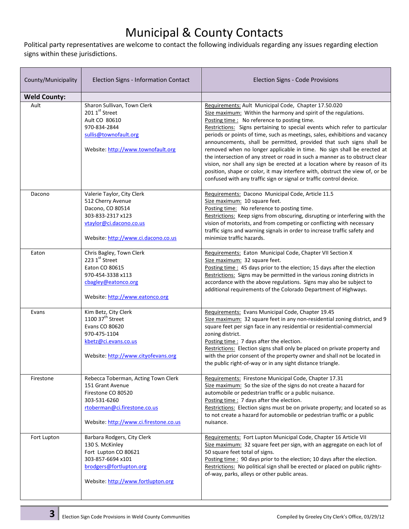## Municipal & County Contacts

Political party representatives are welcome to contact the following individuals regarding any issues regarding election signs within these jurisdictions.

| County/Municipality | Election Signs - Information Contact                                                                                                                                    | Election Signs - Code Provisions                                                                                                                                                                                                                                                                                                                                                                                                                                                                                                                                                                                                                                                                                                                                                                            |
|---------------------|-------------------------------------------------------------------------------------------------------------------------------------------------------------------------|-------------------------------------------------------------------------------------------------------------------------------------------------------------------------------------------------------------------------------------------------------------------------------------------------------------------------------------------------------------------------------------------------------------------------------------------------------------------------------------------------------------------------------------------------------------------------------------------------------------------------------------------------------------------------------------------------------------------------------------------------------------------------------------------------------------|
| <b>Weld County:</b> |                                                                                                                                                                         |                                                                                                                                                                                                                                                                                                                                                                                                                                                                                                                                                                                                                                                                                                                                                                                                             |
| Ault                | Sharon Sullivan, Town Clerk<br>201 1st Street<br>Ault CO 80610<br>970-834-2844<br>sullis@townofault.org<br>Website: http://www.townofault.org                           | Requirements: Ault Municipal Code, Chapter 17.50.020<br>Size maximum: Within the harmony and spirit of the regulations.<br>Posting time : No reference to posting time.<br>Restrictions: Signs pertaining to special events which refer to particular<br>periods or points of time, such as meetings, sales, exhibitions and vacancy<br>announcements, shall be permitted, provided that such signs shall be<br>removed when no longer applicable in time. No sign shall be erected at<br>the intersection of any street or road in such a manner as to obstruct clear<br>vision, nor shall any sign be erected at a location where by reason of its<br>position, shape or color, it may interfere with, obstruct the view of, or be<br>confused with any traffic sign or signal or traffic control device. |
| Dacono              | Valerie Taylor, City Clerk<br>512 Cherry Avenue<br>Dacono, CO 80514<br>303-833-2317 x123<br>vtaylor@ci.dacono.co.us<br>Website: http://www.ci.dacono.co.us              | Requirements: Dacono Municipal Code, Article 11.5<br>Size maximum: 10 square feet.<br>Posting time: No reference to posting time.<br>Restrictions: Keep signs from obscuring, disrupting or interfering with the<br>vision of motorists, and from competing or conflicting with necessary<br>traffic signs and warning signals in order to increase traffic safety and<br>minimize traffic hazards.                                                                                                                                                                                                                                                                                                                                                                                                         |
| Eaton               | Chris Bagley, Town Clerk<br>223 1st Street<br>Eaton CO 80615<br>970-454-3338 x113<br>cbagley@eatonco.org<br>Website: http://www.eatonco.org                             | Requirements: Eaton Municipal Code, Chapter VII Section X<br>Size maximum: 32 square feet.<br>Posting time: 45 days prior to the election; 15 days after the election<br>Restrictions: Signs may be permitted in the various zoning districts in<br>accordance with the above regulations. Signs may also be subject to<br>additional requirements of the Colorado Department of Highways.                                                                                                                                                                                                                                                                                                                                                                                                                  |
| Evans               | Kim Betz, City Clerk<br>1100 $37^{\text{th}}$ Street<br>Evans CO 80620<br>970-475-1104<br>kbetz@ci.evans.co.us<br>Website: http://www.cityofevans.org                   | Requirements: Evans Municipal Code, Chapter 19.45<br>Size maximum: 32 square feet in any non-residential zoning district, and 9<br>square feet per sign face in any residential or residential-commercial<br>zoning district.<br>Posting time: 7 days after the election.<br>Restrictions: Election signs shall only be placed on private property and<br>with the prior consent of the property owner and shall not be located in<br>the public right-of-way or in any sight distance triangle.                                                                                                                                                                                                                                                                                                            |
| Firestone           | Rebecca Toberman, Acting Town Clerk<br>151 Grant Avenue<br>Firestone CO 80520<br>303-531-6260<br>rtoberman@ci.firestone.co.us<br>Website: http://www.ci.firestone.co.us | Requirements: Firestone Municipal Code, Chapter 17.31<br>Size maximum: So the size of the signs do not create a hazard for<br>automobile or pedestrian traffic or a public nuisance.<br>Posting time: 7 days after the election.<br>Restrictions: Election signs must be on private property; and located so as<br>to not create a hazard for automobile or pedestrian traffic or a public<br>nuisance.                                                                                                                                                                                                                                                                                                                                                                                                     |
| Fort Lupton         | Barbara Rodgers, City Clerk<br>130 S. McKinley<br>Fort Lupton CO 80621<br>303-857-6694 x101<br>brodgers@fortlupton.org<br>Website: http://www.fortlupton.org            | Requirements: Fort Lupton Municipal Code, Chapter 16 Article VII<br>Size maximum: 32 square feet per sign, with an aggregate on each lot of<br>50 square feet total of signs.<br>Posting time: 90 days prior to the election; 10 days after the election.<br>Restrictions: No political sign shall be erected or placed on public rights-<br>of-way, parks, alleys or other public areas.                                                                                                                                                                                                                                                                                                                                                                                                                   |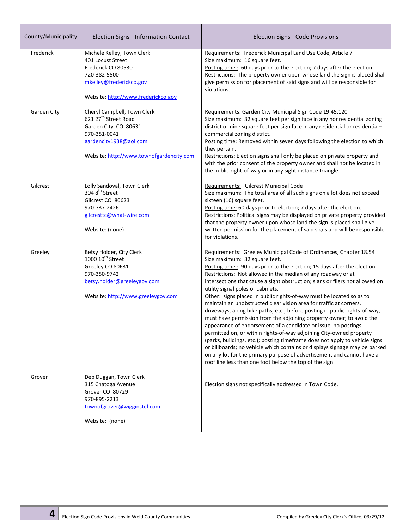| County/Municipality | Election Signs - Information Contact                                                                                                                                          | <b>Election Signs - Code Provisions</b>                                                                                                                                                                                                                                                                                                                                                                                                                                                                                                                                                                                                                                                                                                                                                                                                                                                                                                                                                                                                                                                                          |
|---------------------|-------------------------------------------------------------------------------------------------------------------------------------------------------------------------------|------------------------------------------------------------------------------------------------------------------------------------------------------------------------------------------------------------------------------------------------------------------------------------------------------------------------------------------------------------------------------------------------------------------------------------------------------------------------------------------------------------------------------------------------------------------------------------------------------------------------------------------------------------------------------------------------------------------------------------------------------------------------------------------------------------------------------------------------------------------------------------------------------------------------------------------------------------------------------------------------------------------------------------------------------------------------------------------------------------------|
| Frederick           | Michele Kelley, Town Clerk<br>401 Locust Street<br>Frederick CO 80530<br>720-382-5500<br>mkelley@frederickco.gov<br>Website: http://www.frederickco.gov                       | Requirements: Frederick Municipal Land Use Code, Article 7<br>Size maximum: 16 square feet.<br>Posting time : 60 days prior to the election; 7 days after the election.<br>Restrictions: The property owner upon whose land the sign is placed shall<br>give permission for placement of said signs and will be responsible for<br>violations.                                                                                                                                                                                                                                                                                                                                                                                                                                                                                                                                                                                                                                                                                                                                                                   |
| Garden City         | Cheryl Campbell, Town Clerk<br>621 27 <sup>th</sup> Street Road<br>Garden City CO 80631<br>970-351-0041<br>gardencity1938@aol.com<br>Website: http://www.townofgardencity.com | Requirements: Garden City Municipal Sign Code 19.45.120<br>Size maximum: 32 square feet per sign face in any nonresidential zoning<br>district or nine square feet per sign face in any residential or residential-<br>commercial zoning district.<br>Posting time: Removed within seven days following the election to which<br>they pertain.<br>Restrictions: Election signs shall only be placed on private property and<br>with the prior consent of the property owner and shall not be located in<br>the public right-of-way or in any sight distance triangle.                                                                                                                                                                                                                                                                                                                                                                                                                                                                                                                                            |
| Gilcrest            | Lolly Sandoval, Town Clerk<br>304 8 <sup>th</sup> Street<br>Gilcrest CO 80623<br>970-737-2426<br>gilcresttc@what-wire.com<br>Website: (none)                                  | Requirements: Gilcrest Municipal Code<br>Size maximum: The total area of all such signs on a lot does not exceed<br>sixteen (16) square feet.<br>Posting time: 60 days prior to election; 7 days after the election.<br>Restrictions: Political signs may be displayed on private property provided<br>that the property owner upon whose land the sign is placed shall give<br>written permission for the placement of said signs and will be responsible<br>for violations.                                                                                                                                                                                                                                                                                                                                                                                                                                                                                                                                                                                                                                    |
| Greeley             | Betsy Holder, City Clerk<br>1000 10 <sup>th</sup> Street<br>Greeley CO 80631<br>970-350-9742<br>betsy.holder@greeleygov.com<br>Website: http://www.greeleygov.com             | Requirements: Greeley Municipal Code of Ordinances, Chapter 18.54<br>Size maximum: 32 square feet.<br>Posting time: 90 days prior to the election; 15 days after the election<br>Restrictions: Not allowed in the median of any roadway or at<br>intersections that cause a sight obstruction; signs or fliers not allowed on<br>utility signal poles or cabinets.<br>Other: signs placed in public rights-of-way must be located so as to<br>maintain an unobstructed clear vision area for traffic at corners,<br>driveways, along bike paths, etc.; before posting in public rights-of-way,<br>must have permission from the adjoining property owner; to avoid the<br>appearance of endorsement of a candidate or issue, no postings<br>permitted on, or within rights-of-way adjoining City-owned property<br>(parks, buildings, etc.); posting timeframe does not apply to vehicle signs<br>or billboards; no vehicle which contains or displays signage may be parked<br>on any lot for the primary purpose of advertisement and cannot have a<br>roof line less than one foot below the top of the sign. |
| Grover              | Deb Duggan, Town Clerk<br>315 Chatoga Avenue<br>Grover CO 80729<br>970-895-2213<br>townofgrover@wigginstel.com<br>Website: (none)                                             | Election signs not specifically addressed in Town Code.                                                                                                                                                                                                                                                                                                                                                                                                                                                                                                                                                                                                                                                                                                                                                                                                                                                                                                                                                                                                                                                          |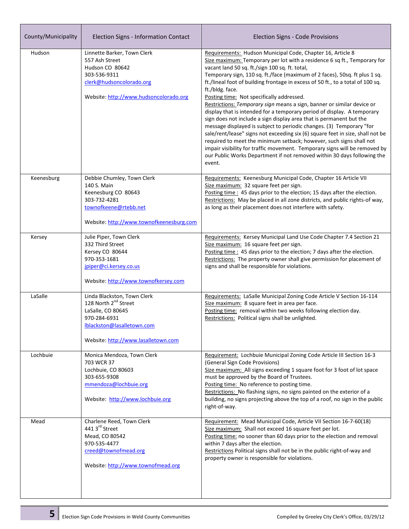| County/Municipality | Election Signs - Information Contact                                                                                                                                      | Election Signs - Code Provisions                                                                                                                                                                                                                                                                                                                                                                                                                                                                                                                                                                                                                                                                                                                                                                                                                                                                                                                                                                                                                          |
|---------------------|---------------------------------------------------------------------------------------------------------------------------------------------------------------------------|-----------------------------------------------------------------------------------------------------------------------------------------------------------------------------------------------------------------------------------------------------------------------------------------------------------------------------------------------------------------------------------------------------------------------------------------------------------------------------------------------------------------------------------------------------------------------------------------------------------------------------------------------------------------------------------------------------------------------------------------------------------------------------------------------------------------------------------------------------------------------------------------------------------------------------------------------------------------------------------------------------------------------------------------------------------|
| Hudson              | Linnette Barker, Town Clerk<br>557 Ash Street<br>Hudson CO 80642<br>303-536-9311<br>clerk@hudsoncolorado.org<br>Website: http://www.hudsoncolorado.org                    | Requirements: Hudson Municipal Code, Chapter 16, Article 8<br>Size maximum: Temporary per lot with a residence 6 sq ft., Temporary for<br>vacant land 50 sq. ft./sign 100 sq. ft. total,<br>Temporary sign, 110 sq. ft./face (maximum of 2 faces), 50sq. ft plus 1 sq.<br>ft./lineal foot of building frontage in excess of 50 ft., to a total of 100 sq.<br>ft./bldg. face.<br>Posting time: Not specifically addressed.<br>Restrictions: Temporary sign means a sign, banner or similar device or<br>display that is intended for a temporary period of display. A temporary<br>sign does not include a sign display area that is permanent but the<br>message displayed is subject to periodic changes. (3) Temporary "for<br>sale/rent/lease" signs not exceeding six (6) square feet in size, shall not be<br>required to meet the minimum setback; however, such signs shall not<br>impair visibility for traffic movement. Temporary signs will be removed by<br>our Public Works Department if not removed within 30 days following the<br>event. |
| Keenesburg          | Debbie Chumley, Town Clerk<br>140 S. Main<br>Keenesburg CO 80643<br>303-732-4281<br>townofkeene@rtebb.net<br>Website: http://www.townofkeenesburg.com                     | Requirements: Keenesburg Municipal Code, Chapter 16 Article VII<br>Size maximum: 32 square feet per sign.<br>Posting time: 45 days prior to the election; 15 days after the election.<br>Restrictions: May be placed in all zone districts, and public rights-of way,<br>as long as their placement does not interfere with safety.                                                                                                                                                                                                                                                                                                                                                                                                                                                                                                                                                                                                                                                                                                                       |
| Kersey              | Julie Piper, Town Clerk<br>332 Third Street<br>Kersey CO 80644<br>970-353-1681<br>jpiper@ci.kersey.co.us<br>Website: http://www.townofkersey.com                          | Requirements: Kersey Municipal Land Use Code Chapter 7.4 Section 21<br>Size maximum: 16 square feet per sign.<br>Posting time : 45 days prior to the election; 7 days after the election.<br>Restrictions: The property owner shall give permission for placement of<br>signs and shall be responsible for violations.                                                                                                                                                                                                                                                                                                                                                                                                                                                                                                                                                                                                                                                                                                                                    |
| LaSalle             | Linda Blackston, Town Clerk<br>128 North 2 <sup>nd</sup> Street<br>LaSalle, CO 80645<br>970-284-6931<br>Iblackston@lasalletown.com<br>Website: http://www.lasalletown.com | Requirements: LaSalle Municipal Zoning Code Article V Section 16-114<br>Size maximum: 8 square feet in area per face.<br>Posting time: removal within two weeks following election day.<br>Restrictions: Political signs shall be unlighted.                                                                                                                                                                                                                                                                                                                                                                                                                                                                                                                                                                                                                                                                                                                                                                                                              |
| Lochbuie            | Monica Mendoza, Town Clerk<br>703 WCR 37<br>Lochbuie, CO 80603<br>303-655-9308<br>mmendoza@lochbuie.org<br>Website: http://www.lochbuie.org                               | Requirement: Lochbuie Municipal Zoning Code Article III Section 16-3<br>(General Sign Code Provisions)<br>Size maximum: All signs exceeding 1 square foot for 3 foot of lot space<br>must be approved by the Board of Trustees.<br>Posting time: No reference to posting time.<br>Restrictions: No flashing signs, no signs painted on the exterior of a<br>building, no signs projecting above the top of a roof, no sign in the public<br>right-of-way.                                                                                                                                                                                                                                                                                                                                                                                                                                                                                                                                                                                                 |
| Mead                | Charlene Reed, Town Clerk<br>441 3rd Street<br>Mead, CO 80542<br>970-535-4477<br>creed@townofmead.org<br>Website: http://www.townofmead.org                               | Requirement: Mead Municipal Code, Article VII Section 16-7-60(18)<br>Size maximum: Shall not exceed 16 square feet per lot.<br>Posting time: no sooner than 60 days prior to the election and removal<br>within 7 days after the election.<br>Restrictions Political signs shall not be in the public right-of-way and<br>property owner is responsible for violations.                                                                                                                                                                                                                                                                                                                                                                                                                                                                                                                                                                                                                                                                                   |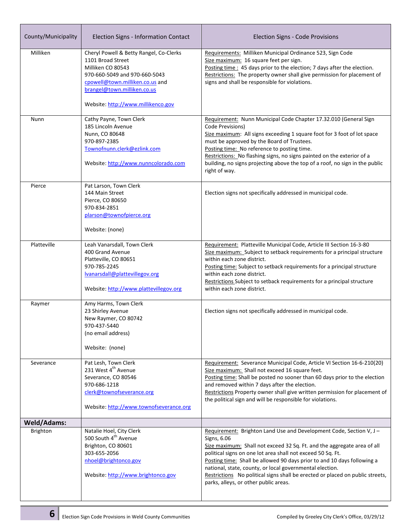| County/Municipality | Election Signs - Information Contact                                                                                                                                                                                       | Election Signs - Code Provisions                                                                                                                                                                                                                                                                                                                                                                                                                                                              |
|---------------------|----------------------------------------------------------------------------------------------------------------------------------------------------------------------------------------------------------------------------|-----------------------------------------------------------------------------------------------------------------------------------------------------------------------------------------------------------------------------------------------------------------------------------------------------------------------------------------------------------------------------------------------------------------------------------------------------------------------------------------------|
| Milliken            | Cheryl Powell & Betty Rangel, Co-Clerks<br>1101 Broad Street<br>Milliken CO 80543<br>970-660-5049 and 970-660-5043<br>cpowell@town.milliken.co.us and<br>brangel@town.milliken.co.us<br>Website: http://www.millikenco.gov | Requirements: Milliken Municipal Ordinance 523, Sign Code<br>Size maximum: 16 square feet per sign.<br>Posting time: 45 days prior to the election; 7 days after the election.<br>Restrictions: The property owner shall give permission for placement of<br>signs and shall be responsible for violations.                                                                                                                                                                                   |
| Nunn                | Cathy Payne, Town Clerk<br>185 Lincoln Avenue<br>Nunn, CO 80648<br>970-897-2385<br>Townofnunn.clerk@ezlink.com<br>Website: http://www.nunncolorado.com                                                                     | Requirement: Nunn Municipal Code Chapter 17.32.010 (General Sign<br>Code Previsions)<br>Size maximum: All signs exceeding 1 square foot for 3 foot of lot space<br>must be approved by the Board of Trustees.<br>Posting time: No reference to posting time.<br>Restrictions: No flashing signs, no signs painted on the exterior of a<br>building, no signs projecting above the top of a roof, no sign in the public<br>right of way.                                                       |
| Pierce              | Pat Larson, Town Clerk<br>144 Main Street<br>Pierce, CO 80650<br>970-834-2851<br>plarson@townofpierce.org<br>Website: (none)                                                                                               | Election signs not specifically addressed in municipal code.                                                                                                                                                                                                                                                                                                                                                                                                                                  |
| Platteville         | Leah Vanarsdall, Town Clerk<br>400 Grand Avenue<br>Platteville, CO 80651<br>970-785-2245<br>lvanarsdall@plattevillegov.org<br>Website: http://www.plattevillegov.org                                                       | Requirement: Platteville Municipal Code, Article III Section 16-3-80<br>Size maximum: Subject to setback requirements for a principal structure<br>within each zone district.<br>Posting time: Subject to setback requirements for a principal structure<br>within each zone district.<br>Restrictions Subject to setback requirements for a principal structure<br>within each zone district.                                                                                                |
| Raymer              | Amy Harms, Town Clerk<br>23 Shirley Avenue<br>New Raymer, CO 80742<br>970-437-5440<br>(no email address)<br>Website: (none)                                                                                                | Election signs not specifically addressed in municipal code.                                                                                                                                                                                                                                                                                                                                                                                                                                  |
| Severance           | Pat Lesh, Town Clerk<br>231 West 4 <sup>th</sup> Avenue<br>Severance, CO 80546<br>970-686-1218<br>clerk@townofseverance.org<br>Website: http://www.townofseverance.org                                                     | Requirement: Severance Municipal Code, Article VI Section 16-6-210(20)<br>Size maximum: Shall not exceed 16 square feet.<br>Posting time: Shall be posted no sooner than 60 days prior to the election<br>and removed within 7 days after the election.<br>Restrictions Property owner shall give written permission for placement of<br>the political sign and will be responsible for violations.                                                                                           |
| <b>Weld/Adams:</b>  |                                                                                                                                                                                                                            |                                                                                                                                                                                                                                                                                                                                                                                                                                                                                               |
| Brighton            | Natalie Hoel, City Clerk<br>500 South 4 <sup>th</sup> Avenue<br>Brighton, CO 80601<br>303-655-2056<br>nhoel@brightonco.gov<br>Website: http://www.brightonco.gov                                                           | Requirement: Brighton Land Use and Development Code, Section V, J -<br>Signs, 6.06<br>Size maximum: Shall not exceed 32 Sq. Ft. and the aggregate area of all<br>political signs on one lot area shall not exceed 50 Sq. Ft.<br>Posting time: Shall be allowed 90 days prior to and 10 days following a<br>national, state, county, or local governmental election.<br>Restrictions No political signs shall be erected or placed on public streets,<br>parks, alleys, or other public areas. |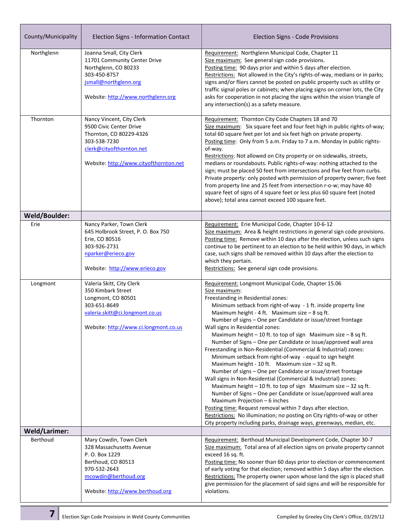| County/Municipality  | Election Signs - Information Contact                                                                                                                                    | Election Signs - Code Provisions                                                                                                                                                                                                                                                                                                                                                                                                                                                                                                                                                                                                                                                                                                                                                                                                                                                                                                                                                                                                                                                                                                                                                               |
|----------------------|-------------------------------------------------------------------------------------------------------------------------------------------------------------------------|------------------------------------------------------------------------------------------------------------------------------------------------------------------------------------------------------------------------------------------------------------------------------------------------------------------------------------------------------------------------------------------------------------------------------------------------------------------------------------------------------------------------------------------------------------------------------------------------------------------------------------------------------------------------------------------------------------------------------------------------------------------------------------------------------------------------------------------------------------------------------------------------------------------------------------------------------------------------------------------------------------------------------------------------------------------------------------------------------------------------------------------------------------------------------------------------|
| Northglenn           | Joanna Small, City Clerk<br>11701 Community Center Drive<br>Northglenn, CO 80233<br>303-450-8757<br>jsmall@northglenn.org<br>Website: http://www.northglenn.org         | Requirement: Northglenn Municipal Code, Chapter 11<br>Size maximum: See general sign code provisions.<br>Posting time: 90 days prior and within 5 days after election.<br>Restrictions: Not allowed in the City's rights-of-way, medians or in parks;<br>signs and/or fliers cannot be posted on public property such as utility or<br>traffic signal poles or cabinets; when placing signs on corner lots, the City<br>asks for cooperation in not placing the signs within the vision triangle of<br>any intersection(s) as a safety measure.                                                                                                                                                                                                                                                                                                                                                                                                                                                                                                                                                                                                                                                |
| Thornton             | Nancy Vincent, City Clerk<br>9500 Civic Center Drive<br>Thornton, CO 80229-4326<br>303-538-7230<br>clerk@cityofthornton.net<br>Website: http://www.cityofthornton.net   | Requirement: Thornton City Code Chapters 18 and 70<br>Size maximum: Six square feet and four feet high in public rights-of-way;<br>total 60 square feet per lot and six feet high on private property.<br>Posting time: Only from 5 a.m. Friday to 7 a.m. Monday in public rights-<br>of-way.<br>Restrictions: Not allowed on City property or on sidewalks, streets,<br>medians or roundabouts. Public rights-of-way: nothing attached to the<br>sign; must be placed 50 feet from intersections and five feet from curbs.<br>Private property: only posted with permission of property owner; five feet<br>from property line and 25 feet from intersection r-o-w; may have 40<br>square feet of signs of 4 square feet or less plus 60 square feet (noted<br>above); total area cannot exceed 100 square feet.                                                                                                                                                                                                                                                                                                                                                                              |
| Weld/Boulder:        |                                                                                                                                                                         |                                                                                                                                                                                                                                                                                                                                                                                                                                                                                                                                                                                                                                                                                                                                                                                                                                                                                                                                                                                                                                                                                                                                                                                                |
| Erie                 | Nancy Parker, Town Clerk<br>645 Holbrook Street, P.O. Box 750<br>Erie, CO 80516<br>303-926-2731<br>nparker@erieco.gov<br>Website: http://www.erieco.gov                 | Requirement: Erie Municipal Code, Chapter 10-6-12<br>Size maximum: Area & height restrictions in general sign code provisions.<br>Posting time: Remove within 10 days after the election, unless such signs<br>continue to be pertinent to an election to be held within 90 days, in which<br>case, such signs shall be removed within 10 days after the election to<br>which they pertain.<br>Restrictions: See general sign code provisions.                                                                                                                                                                                                                                                                                                                                                                                                                                                                                                                                                                                                                                                                                                                                                 |
| Longmont             | Valeria Skitt, City Clerk<br>350 Kimbark Street<br>Longmont, CO 80501<br>303-651-8649<br>valeria.skitt@ci.longmont.co.us<br>Website: http://www.ci.longmont.co.us       | Requirement: Longmont Municipal Code, Chapter 15.06<br>Size maximum:<br>Freestanding in Residential zones:<br>Minimum setback from right-of-way - 1 ft. inside property line<br>Maximum height - 4 ft. Maximum size - 8 sq ft.<br>Number of signs - One per Candidate or issue/street frontage<br>Wall signs in Residential zones:<br>Maximum height $-10$ ft. to top of sign Maximum size $-8$ sq ft.<br>Number of Signs - One per Candidate or issue/approved wall area<br>Freestanding in Non-Residential (Commercial & Industrial) zones:<br>Minimum setback from right-of-way - equal to sign height<br>Maximum height - 10 ft. Maximum size $-32$ sq ft.<br>Number of signs - One per Candidate or issue/street frontage<br>Wall signs in Non-Residential (Commercial & Industrial) zones:<br>Maximum height $-10$ ft. to top of sign Maximum size $-32$ sq ft.<br>Number of Signs - One per Candidate or issue/approved wall area<br>Maximum Projection $-6$ inches<br>Posting time: Request removal within 7 days after election.<br>Restrictions: No illumination; no posting on City rights-of-way or other<br>City property including parks, drainage ways, greenways, median, etc. |
| <b>Weld/Larimer:</b> |                                                                                                                                                                         |                                                                                                                                                                                                                                                                                                                                                                                                                                                                                                                                                                                                                                                                                                                                                                                                                                                                                                                                                                                                                                                                                                                                                                                                |
| Berthoud             | Mary Cowdin, Town Clerk<br>328 Massachusetts Avenue<br>P. O. Box 1229<br>Berthoud, CO 80513<br>970-532-2643<br>mcowdin@berthoud.org<br>Website: http://www.berthoud.org | Requirement: Berthoud Municipal Development Code, Chapter 30-7<br>Size maximum: Total area of all election signs on private property cannot<br>exceed 16 sq. ft.<br>Posting time: No sooner than 60 days prior to election or commencement<br>of early voting for that election; removed within 5 days after the election.<br>Restrictions: The property owner upon whose land the sign is placed shall<br>give permission for the placement of said signs and will be responsible for<br>violations.                                                                                                                                                                                                                                                                                                                                                                                                                                                                                                                                                                                                                                                                                          |